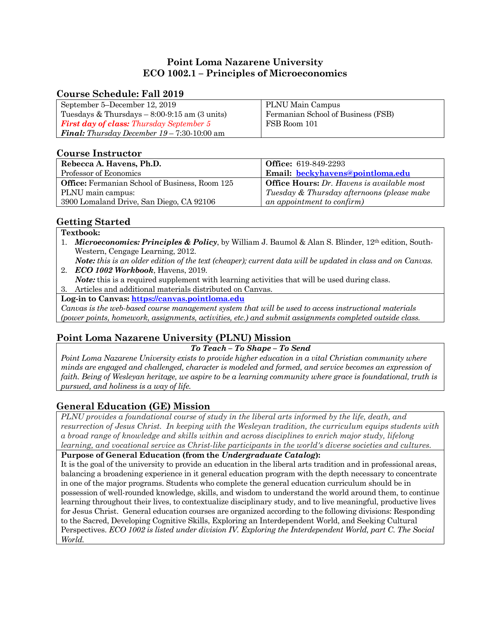# **Point Loma Nazarene University ECO 1002.1 – Principles of Microeconomics**

## **Course Schedule: Fall 2019**

| September 5–December 12, 2019                              | PLNU Main Campus                   |
|------------------------------------------------------------|------------------------------------|
| Tuesdays $&$ Thursdays $-8:00-9:15$ am $(3 \text{ units})$ | Fermanian School of Business (FSB) |
| <b>First day of class:</b> Thursday September 5            | FSB Room 101                       |
| <b>Final:</b> Thursday December $19 - 7:30 - 10:00$ am     |                                    |

## **Course Instructor**

| Rebecca A. Havens, Ph.D.                       | <b>Office:</b> 619-849-2293                       |
|------------------------------------------------|---------------------------------------------------|
| Professor of Economics                         | Email: beckyhavens@pointloma.edu                  |
| Office: Fermanian School of Business, Room 125 | <b>Office Hours:</b> Dr. Havens is available most |
| PLNU main campus:                              | Tuesday & Thursday afternoons (please make        |
| 3900 Lomaland Drive, San Diego, CA 92106       | an appointment to confirm)                        |

# **Getting Started**

### **Textbook:**

- 1. *Microeconomics: Principles & Policy*, by William J. Baumol & Alan S. Blinder, 12th edition, South-Western, Cengage Learning, 2012.
- *Note: this is an older edition of the text (cheaper); current data will be updated in class and on Canvas.* 2. *ECO 1002 Workbook*, Havens, 2019.
- *Note:* this is a required supplement with learning activities that will be used during class.
- 3. Articles and additional materials distributed on Canvas.

**Log-in to Canvas: https://canvas.pointloma.edu**

*Canvas is the web-based course management system that will be used to access instructional materials (power points, homework, assignments, activities, etc.) and submit assignments completed outside class.*

# **Point Loma Nazarene University (PLNU) Mission**

### *To Teach – To Shape – To Send*

*Point Loma Nazarene University exists to provide higher education in a vital Christian community where minds are engaged and challenged, character is modeled and formed, and service becomes an expression of faith. Being of Wesleyan heritage, we aspire to be a learning community where grace is foundational, truth is pursued, and holiness is a way of life.*

# **General Education (GE) Mission**

*PLNU provides a foundational course of study in the liberal arts informed by the life, death, and resurrection of Jesus Christ. In keeping with the Wesleyan tradition, the curriculum equips students with a broad range of knowledge and skills within and across disciplines to enrich major study, lifelong learning, and vocational service as Christ-like participants in the world's diverse societies and cultures.*

**Purpose of General Education (from the** *Undergraduate Catalog***):** 

It is the goal of the university to provide an education in the liberal arts tradition and in professional areas, balancing a broadening experience in it general education program with the depth necessary to concentrate in one of the major programs. Students who complete the general education curriculum should be in possession of well-rounded knowledge, skills, and wisdom to understand the world around them, to continue learning throughout their lives, to contextualize disciplinary study, and to live meaningful, productive lives for Jesus Christ. General education courses are organized according to the following divisions: Responding to the Sacred, Developing Cognitive Skills, Exploring an Interdependent World, and Seeking Cultural Perspectives. *ECO 1002 is listed under division IV. Exploring the Interdependent World, part C. The Social World.*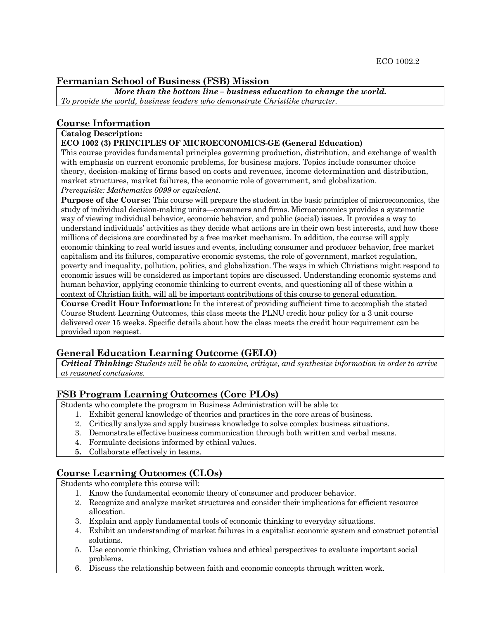## **Fermanian School of Business (FSB) Mission**

*More than the bottom line – business education to change the world. To provide the world, business leaders who demonstrate Christlike character.*

### **Course Information**

#### **Catalog Description:**

#### **ECO 1002 (3) PRINCIPLES OF MICROECONOMICS-GE (General Education)**

This course provides fundamental principles governing production, distribution, and exchange of wealth with emphasis on current economic problems, for business majors. Topics include consumer choice theory, decision-making of firms based on costs and revenues, income determination and distribution, market structures, market failures, the economic role of government, and globalization. *Prerequisite: Mathematics 0099 or equivalent.*

**Purpose of the Course:** This course will prepare the student in the basic principles of microeconomics, the study of individual decision-making units—consumers and firms. Microeconomics provides a systematic way of viewing individual behavior, economic behavior, and public (social) issues. It provides a way to understand individuals' activities as they decide what actions are in their own best interests, and how these millions of decisions are coordinated by a free market mechanism. In addition, the course will apply economic thinking to real world issues and events, including consumer and producer behavior, free market capitalism and its failures, comparative economic systems, the role of government, market regulation, poverty and inequality, pollution, politics, and globalization. The ways in which Christians might respond to economic issues will be considered as important topics are discussed. Understanding economic systems and human behavior, applying economic thinking to current events, and questioning all of these within a context of Christian faith, will all be important contributions of this course to general education.

**Course Credit Hour Information:** In the interest of providing sufficient time to accomplish the stated Course Student Learning Outcomes, this class meets the PLNU credit hour policy for a 3 unit course delivered over 15 weeks. Specific details about how the class meets the credit hour requirement can be provided upon request.

### **General Education Learning Outcome (GELO)**

*Critical Thinking: Students will be able to examine, critique, and synthesize information in order to arrive at reasoned conclusions.*

#### **FSB Program Learning Outcomes (Core PLOs)**

Students who complete the program in Business Administration will be able to:

- 1. Exhibit general knowledge of theories and practices in the core areas of business.
- 2. Critically analyze and apply business knowledge to solve complex business situations.
- 3. Demonstrate effective business communication through both written and verbal means.
- 4. Formulate decisions informed by ethical values.
- **5.** Collaborate effectively in teams.

# **Course Learning Outcomes (CLOs)**

Students who complete this course will:

- 1. Know the fundamental economic theory of consumer and producer behavior.
- 2. Recognize and analyze market structures and consider their implications for efficient resource allocation.
- 3. Explain and apply fundamental tools of economic thinking to everyday situations.
- 4. Exhibit an understanding of market failures in a capitalist economic system and construct potential solutions.
- 5. Use economic thinking, Christian values and ethical perspectives to evaluate important social problems.
- 6. Discuss the relationship between faith and economic concepts through written work.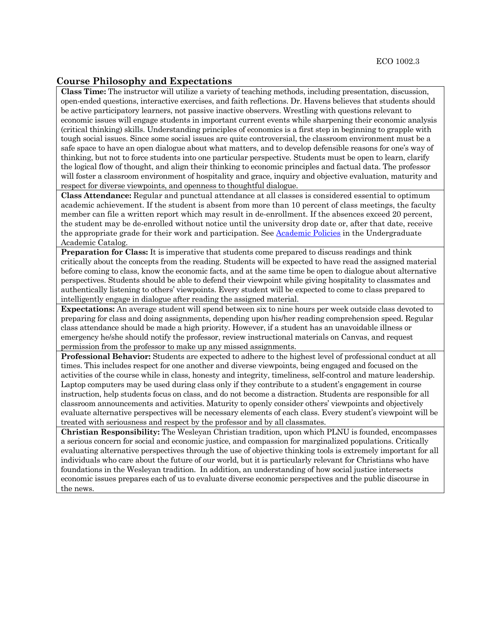### **Course Philosophy and Expectations**

**Class Time:** The instructor will utilize a variety of teaching methods, including presentation, discussion, open-ended questions, interactive exercises, and faith reflections. Dr. Havens believes that students should be active participatory learners, not passive inactive observers. Wrestling with questions relevant to economic issues will engage students in important current events while sharpening their economic analysis (critical thinking) skills. Understanding principles of economics is a first step in beginning to grapple with tough social issues. Since some social issues are quite controversial, the classroom environment must be a safe space to have an open dialogue about what matters, and to develop defensible reasons for one's way of thinking, but not to force students into one particular perspective. Students must be open to learn, clarify the logical flow of thought, and align their thinking to economic principles and factual data. The professor will foster a classroom environment of hospitality and grace, inquiry and objective evaluation, maturity and respect for diverse viewpoints, and openness to thoughtful dialogue.

**Class Attendance:** Regular and punctual attendance at all classes is considered essential to optimum academic achievement. If the student is absent from more than 10 percent of class meetings, the faculty member can file a written report which may result in de-enrollment. If the absences exceed 20 percent, the student may be de-enrolled without notice until the university drop date or, after that date, receive the appropriate grade for their work and participation. See Academic Policies in the Undergraduate Academic Catalog.

**Preparation for Class:** It is imperative that students come prepared to discuss readings and think critically about the concepts from the reading. Students will be expected to have read the assigned material before coming to class, know the economic facts, and at the same time be open to dialogue about alternative perspectives. Students should be able to defend their viewpoint while giving hospitality to classmates and authentically listening to others' viewpoints. Every student will be expected to come to class prepared to intelligently engage in dialogue after reading the assigned material.

**Expectations:** An average student will spend between six to nine hours per week outside class devoted to preparing for class and doing assignments, depending upon his/her reading comprehension speed. Regular class attendance should be made a high priority. However, if a student has an unavoidable illness or emergency he/she should notify the professor, review instructional materials on Canvas, and request permission from the professor to make up any missed assignments.

**Professional Behavior:** Students are expected to adhere to the highest level of professional conduct at all times. This includes respect for one another and diverse viewpoints, being engaged and focused on the activities of the course while in class, honesty and integrity, timeliness, self-control and mature leadership. Laptop computers may be used during class only if they contribute to a student's engagement in course instruction, help students focus on class, and do not become a distraction. Students are responsible for all classroom announcements and activities. Maturity to openly consider others' viewpoints and objectively evaluate alternative perspectives will be necessary elements of each class. Every student's viewpoint will be treated with seriousness and respect by the professor and by all classmates.

**Christian Responsibility:** The Wesleyan Christian tradition, upon which PLNU is founded, encompasses a serious concern for social and economic justice, and compassion for marginalized populations. Critically evaluating alternative perspectives through the use of objective thinking tools is extremely important for all individuals who care about the future of our world, but it is particularly relevant for Christians who have foundations in the Wesleyan tradition. In addition, an understanding of how social justice intersects economic issues prepares each of us to evaluate diverse economic perspectives and the public discourse in the news.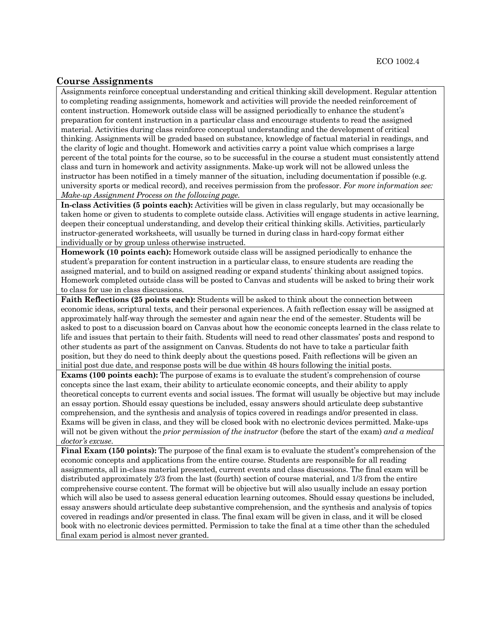### **Course Assignments**

Assignments reinforce conceptual understanding and critical thinking skill development. Regular attention to completing reading assignments, homework and activities will provide the needed reinforcement of content instruction. Homework outside class will be assigned periodically to enhance the student's preparation for content instruction in a particular class and encourage students to read the assigned material. Activities during class reinforce conceptual understanding and the development of critical thinking. Assignments will be graded based on substance, knowledge of factual material in readings, and the clarity of logic and thought. Homework and activities carry a point value which comprises a large percent of the total points for the course, so to be successful in the course a student must consistently attend class and turn in homework and activity assignments. Make-up work will not be allowed unless the instructor has been notified in a timely manner of the situation, including documentation if possible (e.g. university sports or medical record), and receives permission from the professor. *For more information see: Make-up Assignment Process on the following page.*

**In-class Activities (5 points each):** Activities will be given in class regularly, but may occasionally be taken home or given to students to complete outside class. Activities will engage students in active learning, deepen their conceptual understanding, and develop their critical thinking skills. Activities, particularly instructor-generated worksheets, will usually be turned in during class in hard-copy format either individually or by group unless otherwise instructed.

**Homework (10 points each):** Homework outside class will be assigned periodically to enhance the student's preparation for content instruction in a particular class, to ensure students are reading the assigned material, and to build on assigned reading or expand students' thinking about assigned topics. Homework completed outside class will be posted to Canvas and students will be asked to bring their work to class for use in class discussions.

**Faith Reflections (25 points each):** Students will be asked to think about the connection between economic ideas, scriptural texts, and their personal experiences. A faith reflection essay will be assigned at approximately half-way through the semester and again near the end of the semester. Students will be asked to post to a discussion board on Canvas about how the economic concepts learned in the class relate to life and issues that pertain to their faith. Students will need to read other classmates' posts and respond to other students as part of the assignment on Canvas. Students do not have to take a particular faith position, but they do need to think deeply about the questions posed. Faith reflections will be given an initial post due date, and response posts will be due within 48 hours following the initial posts.

**Exams (100 points each):** The purpose of exams is to evaluate the student's comprehension of course concepts since the last exam, their ability to articulate economic concepts, and their ability to apply theoretical concepts to current events and social issues. The format will usually be objective but may include an essay portion. Should essay questions be included, essay answers should articulate deep substantive comprehension, and the synthesis and analysis of topics covered in readings and/or presented in class. Exams will be given in class, and they will be closed book with no electronic devices permitted. Make-ups will not be given without the *prior permission of the instructor* (before the start of the exam) *and a medical doctor's excuse*.

**Final Exam (150 points):** The purpose of the final exam is to evaluate the student's comprehension of the economic concepts and applications from the entire course. Students are responsible for all reading assignments, all in-class material presented, current events and class discussions. The final exam will be distributed approximately 2/3 from the last (fourth) section of course material, and 1/3 from the entire comprehensive course content. The format will be objective but will also usually include an essay portion which will also be used to assess general education learning outcomes. Should essay questions be included, essay answers should articulate deep substantive comprehension, and the synthesis and analysis of topics covered in readings and/or presented in class. The final exam will be given in class, and it will be closed book with no electronic devices permitted. Permission to take the final at a time other than the scheduled final exam period is almost never granted.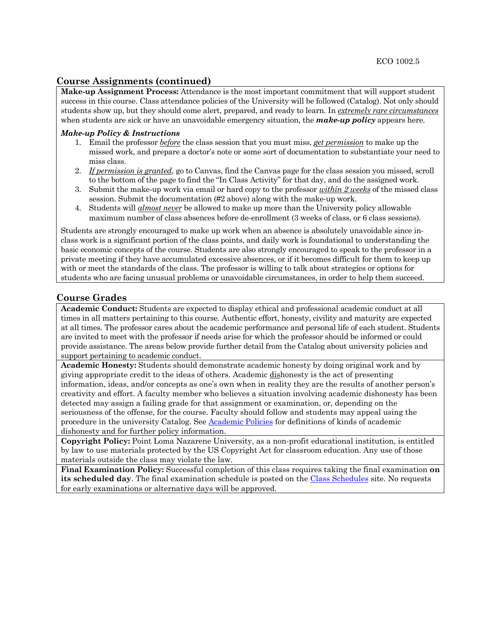### **Course Assignments (continued)**

**Make-up Assignment Process:** Attendance is the most important commitment that will support student success in this course. Class attendance policies of the University will be followed (Catalog). Not only should students show up, but they should come alert, prepared, and ready to learn. In *extremely rare circumstances* when students are sick or have an unavoidable emergency situation, the *make-up policy* appears here.

#### *Make-up Policy & Instructions*

- 1. Email the professor *before* the class session that you must miss, *get permission* to make up the missed work, and prepare a doctor's note or some sort of documentation to substantiate your need to miss class.
- 2. *If permission is granted*, go to Canvas, find the Canvas page for the class session you missed, scroll to the bottom of the page to find the "In Class Activity" for that day, and do the assigned work.
- 3. Submit the make-up work via email or hard copy to the professor *within 2 weeks* of the missed class session. Submit the documentation (#2 above) along with the make-up work.
- 4. Students will *almost never* be allowed to make up more than the University policy allowable maximum number of class absences before de-enrollment (3 weeks of class, or 6 class sessions).

Students are strongly encouraged to make up work when an absence is absolutely unavoidable since inclass work is a significant portion of the class points, and daily work is foundational to understanding the basic economic concepts of the course. Students are also strongly encouraged to speak to the professor in a private meeting if they have accumulated excessive absences, or if it becomes difficult for them to keep up with or meet the standards of the class. The professor is willing to talk about strategies or options for students who are facing unusual problems or unavoidable circumstances, in order to help them succeed.

## **Course Grades**

**Academic Conduct:** Students are expected to display ethical and professional academic conduct at all times in all matters pertaining to this course. Authentic effort, honesty, civility and maturity are expected at all times. The professor cares about the academic performance and personal life of each student. Students are invited to meet with the professor if needs arise for which the professor should be informed or could provide assistance. The areas below provide further detail from the Catalog about university policies and support pertaining to academic conduct.

**Academic Honesty:** Students should demonstrate academic honesty by doing original work and by giving appropriate credit to the ideas of others. Academic dishonesty is the act of presenting information, ideas, and/or concepts as one's own when in reality they are the results of another person's creativity and effort. A faculty member who believes a situation involving academic dishonesty has been detected may assign a failing grade for that assignment or examination, or, depending on the seriousness of the offense, for the course. Faculty should follow and students may appeal using the procedure in the university Catalog. See Academic Policies for definitions of kinds of academic dishonesty and for further policy information.

**Copyright Policy:** Point Loma Nazarene University, as a non-profit educational institution, is entitled by law to use materials protected by the US Copyright Act for classroom education. Any use of those materials outside the class may violate the law.

**Final Examination Policy:** Successful completion of this class requires taking the final examination **on its scheduled day**. The final examination schedule is posted on the Class Schedules site. No requests for early examinations or alternative days will be approved.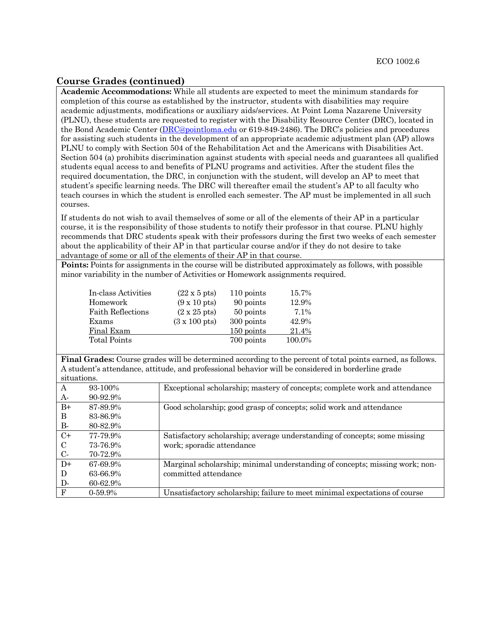### **Course Grades (continued)**

**Academic Accommodations:** While all students are expected to meet the minimum standards for completion of this course as established by the instructor, students with disabilities may require academic adjustments, modifications or auxiliary aids/services. At Point Loma Nazarene University (PLNU), these students are requested to register with the Disability Resource Center (DRC), located in the Bond Academic Center (DRC@pointloma.edu or 619-849-2486). The DRC's policies and procedures for assisting such students in the development of an appropriate academic adjustment plan (AP) allows PLNU to comply with Section 504 of the Rehabilitation Act and the Americans with Disabilities Act. Section 504 (a) prohibits discrimination against students with special needs and guarantees all qualified students equal access to and benefits of PLNU programs and activities. After the student files the required documentation, the DRC, in conjunction with the student, will develop an AP to meet that student's specific learning needs. The DRC will thereafter email the student's AP to all faculty who teach courses in which the student is enrolled each semester. The AP must be implemented in all such courses.

If students do not wish to avail themselves of some or all of the elements of their AP in a particular course, it is the responsibility of those students to notify their professor in that course. PLNU highly recommends that DRC students speak with their professors during the first two weeks of each semester about the applicability of their AP in that particular course and/or if they do not desire to take advantage of some or all of the elements of their AP in that course.

**Points:** Points for assignments in the course will be distributed approximately as follows, with possible minor variability in the number of Activities or Homework assignments required.

| In-class Activities      | $(22 \times 5 \text{ pts})$  | 110 points | 15.7%   |
|--------------------------|------------------------------|------------|---------|
| Homework                 | $(9 \times 10 \text{ pts})$  | 90 points  | 12.9%   |
| <b>Faith Reflections</b> | $(2 \times 25 \text{ pts})$  | 50 points  | $7.1\%$ |
| Exams                    | $(3 \times 100 \text{ pts})$ | 300 points | 42.9%   |
| Final Exam               |                              | 150 points | 21.4%   |
| <b>Total Points</b>      |                              | 700 points | 100.0%  |

**Final Grades:** Course grades will be determined according to the percent of total points earned, as follows. A student's attendance, attitude, and professional behavior will be considered in borderline grade situations.

| <u>,</u>      |            |                                                                             |
|---------------|------------|-----------------------------------------------------------------------------|
| A             | 93-100%    | Exceptional scholarship; mastery of concepts; complete work and attendance  |
| A-            | 90-92.9%   |                                                                             |
| $B+$          | 87-89.9%   | Good scholarship; good grasp of concepts; solid work and attendance         |
| B             | 83-86.9%   |                                                                             |
| <b>B</b> -    | 80-82.9%   |                                                                             |
| $C+$          | 77-79.9%   | Satisfactory scholarship; average understanding of concepts; some missing   |
| $\mathcal{C}$ | 73-76.9%   | work; sporadic attendance                                                   |
| $C$ -         | 70-72.9%   |                                                                             |
| $D+$          | 67-69.9%   | Marginal scholarship; minimal understanding of concepts; missing work; non- |
| D             | 63-66.9%   | committed attendance                                                        |
| D-            | 60-62.9%   |                                                                             |
| F             | $0.59.9\%$ | Unsatisfactory scholarship; failure to meet minimal expectations of course  |